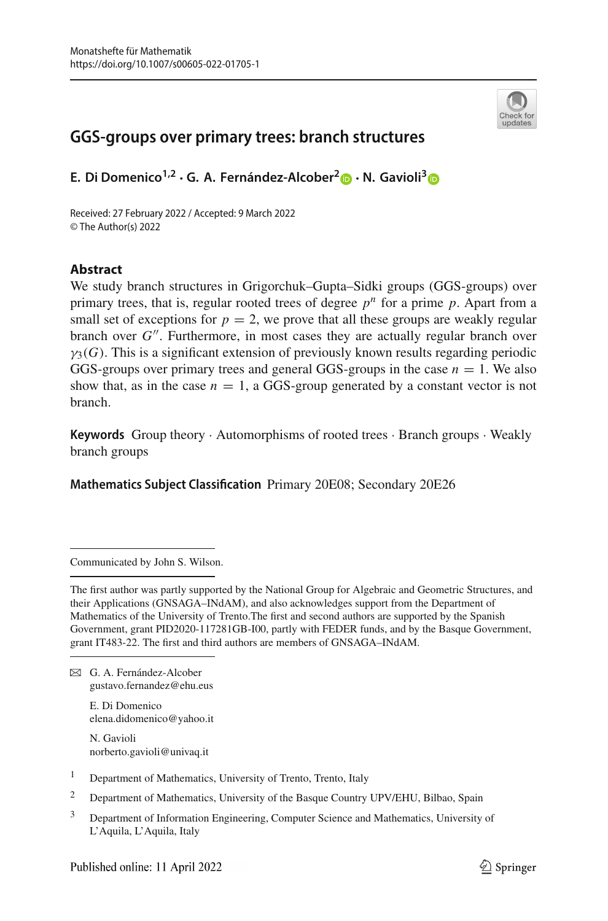

# **GGS-groups over primary trees: branch structures**

**E. Di Domenico1,2 · G. A. Fernández-Alcober[2](http://orcid.org/0000-0001-5369-4403) · N. Gavioli[3](https://orcid.org/0000-0001-9500-0860)**

Received: 27 February 2022 / Accepted: 9 March 2022 © The Author(s) 2022

## **Abstract**

We study branch structures in Grigorchuk–Gupta–Sidki groups (GGS-groups) over primary trees, that is, regular rooted trees of degree  $p^n$  for a prime  $p$ . Apart from a small set of exceptions for  $p = 2$ , we prove that all these groups are weakly regular branch over G''. Furthermore, in most cases they are actually regular branch over  $\gamma_3(G)$ . This is a significant extension of previously known results regarding periodic GGS-groups over primary trees and general GGS-groups in the case  $n = 1$ . We also show that, as in the case  $n = 1$ , a GGS-group generated by a constant vector is not branch.

**Keywords** Group theory · Automorphisms of rooted trees · Branch groups · Weakly branch groups

**Mathematics Subject Classification** Primary 20E08; Secondary 20E26

Communicated by John S. Wilson.

The first author was partly supported by the National Group for Algebraic and Geometric Structures, and their Applications (GNSAGA–INdAM), and also acknowledges support from the Department of Mathematics of the University of Trento.The first and second authors are supported by the Spanish Government, grant PID2020-117281GB-I00, partly with FEDER funds, and by the Basque Government, grant IT483-22. The first and third authors are members of GNSAGA–INdAM.

 $\boxtimes$  G. A. Fernández-Alcober gustavo.fernandez@ehu.eus

> E. Di Domenico elena.didomenico@yahoo.it

N. Gavioli norberto.gavioli@univaq.it

- <sup>1</sup> Department of Mathematics, University of Trento, Trento, Italy
- <sup>2</sup> Department of Mathematics, University of the Basque Country UPV/EHU, Bilbao, Spain
- <sup>3</sup> Department of Information Engineering, Computer Science and Mathematics, University of L'Aquila, L'Aquila, Italy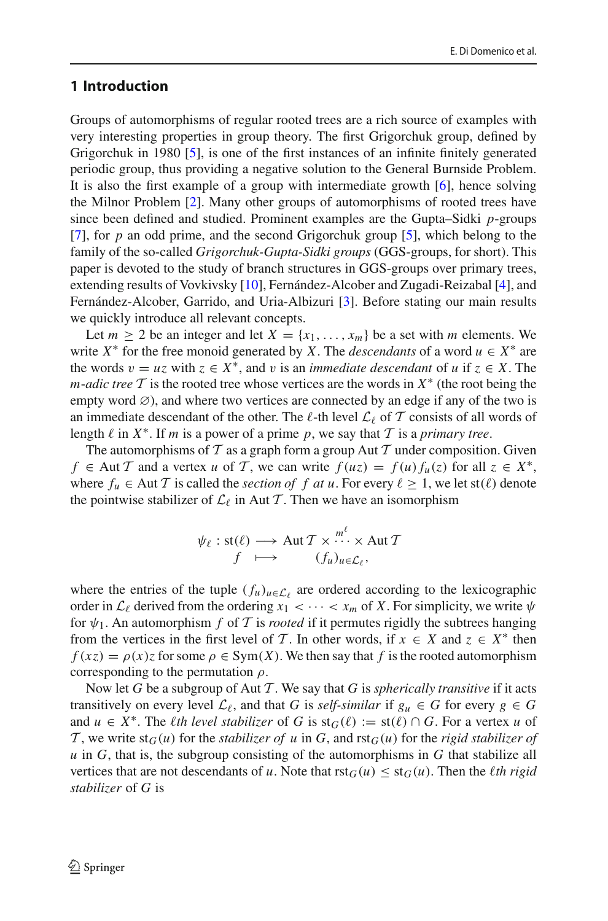## **1 Introduction**

Groups of automorphisms of regular rooted trees are a rich source of examples with very interesting properties in group theory. The first Grigorchuk group, defined by Grigorchuk in 1980 [\[5\]](#page-16-0), is one of the first instances of an infinite finitely generated periodic group, thus providing a negative solution to the General Burnside Problem. It is also the first example of a group with intermediate growth [\[6\]](#page-16-1), hence solving the Milnor Problem [\[2](#page-16-2)]. Many other groups of automorphisms of rooted trees have since been defined and studied. Prominent examples are the Gupta–Sidki *p*-groups [\[7](#page-16-3)], for *p* an odd prime, and the second Grigorchuk group [\[5\]](#page-16-0), which belong to the family of the so-called *Grigorchuk-Gupta-Sidki groups* (GGS-groups, for short). This paper is devoted to the study of branch structures in GGS-groups over primary trees, extending results of Vovkivsky [\[10\]](#page-16-4), Fernández-Alcober and Zugadi-Reizabal [\[4](#page-16-5)], and Fernández-Alcober, Garrido, and Uria-Albizuri [\[3](#page-16-6)]. Before stating our main results we quickly introduce all relevant concepts.

Let  $m \geq 2$  be an integer and let  $X = \{x_1, \ldots, x_m\}$  be a set with *m* elements. We write  $X^*$  for the free monoid generated by *X*. The *descendants* of a word  $u \in X^*$  are the words  $v = uz$  with  $z \in X^*$ , and v is an *immediate descendant* of *u* if  $z \in X$ . The *m*-*adic tree*  $\mathcal T$  is the rooted tree whose vertices are the words in  $X^*$  (the root being the empty word ∅), and where two vertices are connected by an edge if any of the two is an immediate descendant of the other. The  $\ell$ -th level  $\mathcal{L}_{\ell}$  of  $\mathcal T$  consists of all words of length  $\ell$  in  $X^*$ . If *m* is a power of a prime *p*, we say that  $\mathcal T$  is a *primary tree*.

The automorphisms of  $T$  as a graph form a group Aut  $T$  under composition. Given *f* ∈ Aut *T* and a vertex *u* of *T*, we can write  $f(uz) = f(uz) f_1(z)$  for all  $z \in X^*$ , where  $f_u \in$  Aut *T* is called the *section of f at u*. For every  $\ell \geq 1$ , we let st( $\ell$ ) denote the pointwise stabilizer of  $\mathcal{L}_{\ell}$  in Aut *T*. Then we have an isomorphism

$$
\psi_{\ell} : \text{st}(\ell) \longrightarrow \text{Aut } \mathcal{T} \times \cdots \times \text{Aut } \mathcal{T}
$$
  

$$
f \longmapsto (f_u)_{u \in \mathcal{L}_{\ell}},
$$

where the entries of the tuple  $(f_u)_{u \in \mathcal{L}}$  are ordered according to the lexicographic order in  $\mathcal{L}_{\ell}$  derived from the ordering  $x_1 < \cdots < x_m$  of X. For simplicity, we write  $\psi$ for  $\psi_1$ . An automorphism *f* of *T* is *rooted* if it permutes rigidly the subtrees hanging from the vertices in the first level of *T*. In other words, if  $x \in X$  and  $z \in X^*$  then  $f(xz) = \rho(x)z$  for some  $\rho \in \text{Sym}(X)$ . We then say that *f* is the rooted automorphism corresponding to the permutation  $\rho$ .

Now let *G* be a subgroup of Aut *T* . We say that *G* is *spherically transitive* if it acts transitively on every level  $\mathcal{L}_{\ell}$ , and that *G* is *self-similar* if  $g_u \in G$  for every  $g \in G$ and  $u \in X^*$ . The *l*th level stabilizer of *G* is  $\text{st}_G(\ell) := \text{st}(\ell) \cap G$ . For a vertex *u* of *T*, we write  $st_G(u)$  for the *stabilizer of* u in *G*, and  $rst_G(u)$  for the *rigid stabilizer of u* in *G*, that is, the subgroup consisting of the automorphisms in *G* that stabilize all vertices that are not descendants of *u*. Note that  $rst<sub>G</sub>(u) \leq st<sub>G</sub>(u)$ . Then the *l*th rigid *stabilizer* of *G* is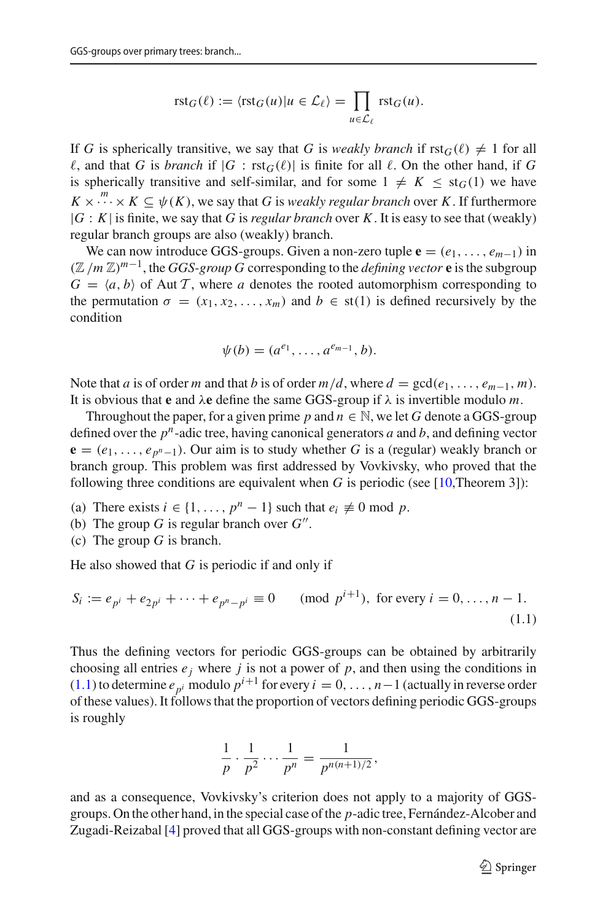$$
\mathrm{rst}_G(\ell) := \langle \mathrm{rst}_G(u) | u \in \mathcal{L}_{\ell} \rangle = \prod_{u \in \mathcal{L}_{\ell}} \mathrm{rst}_G(u).
$$

If G is spherically transitive, we say that G is *weakly branch* if  $rst_G(\ell) \neq 1$  for all  $\ell$ , and that *G* is *branch* if  $|G|$ :  $\text{rst}_G(\ell)|$  is finite for all  $\ell$ . On the other hand, if *G* is spherically transitive and self-similar, and for some  $1 \neq K \leq st_G(1)$  we have  $K \times \cdots \times K \subseteq \psi(K)$ , we say that *G* is *weakly regular branch* over *K*. If furthermore |*G* : *K*| is finite, we say that *G* is *regular branch* over *K*. It is easy to see that (weakly) regular branch groups are also (weakly) branch.

We can now introduce GGS-groups. Given a non-zero tuple  $\mathbf{e} = (e_1, \ldots, e_{m-1})$  in (Z/*m* Z)*m*−1, the *GGS-group G* corresponding to the *defining vector* **e** is the subgroup  $G = \langle a, b \rangle$  of Aut *T*, where *a* denotes the rooted automorphism corresponding to the permutation  $\sigma = (x_1, x_2, \dots, x_m)$  and  $b \in \text{st}(1)$  is defined recursively by the condition

$$
\psi(b)=(a^{e_1},\ldots,a^{e_{m-1}},b).
$$

Note that *a* is of order *m* and that *b* is of order  $m/d$ , where  $d = \gcd(e_1, \ldots, e_{m-1}, m)$ . It is obvious that **e** and  $\lambda$ **e** define the same GGS-group if  $\lambda$  is invertible modulo *m*.

Throughout the paper, for a given prime p and  $n \in \mathbb{N}$ , we let G denote a GGS-group defined over the *pn*-adic tree, having canonical generators *a* and *b*, and defining vector  ${\bf e} = (e_1, \ldots, e_{p^n-1})$ . Our aim is to study whether *G* is a (regular) weakly branch or branch group. This problem was first addressed by Vovkivsky, who proved that the following three conditions are equivalent when  $G$  is periodic (see [\[10,](#page-16-4)Theorem 3]):

- (a) There exists  $i \in \{1, \ldots, p^n 1\}$  such that  $e_i \not\equiv 0 \mod p$ .
- (b) The group *G* is regular branch over  $G''$ .
- (c) The group *G* is branch.

He also showed that *G* is periodic if and only if

<span id="page-2-0"></span>
$$
S_i := e_{p^i} + e_{2p^i} + \dots + e_{p^n - p^i} \equiv 0 \pmod{p^{i+1}}, \text{ for every } i = 0, \dots, n-1.
$$
\n(1.1)

Thus the defining vectors for periodic GGS-groups can be obtained by arbitrarily choosing all entries  $e_j$  where  $j$  is not a power of  $p$ , and then using the conditions in [\(1.1\)](#page-2-0) to determine  $e_{pi}$  modulo  $p^{i+1}$  for every  $i = 0, \ldots, n-1$  (actually in reverse order of these values). It follows that the proportion of vectors defining periodic GGS-groups is roughly

$$
\frac{1}{p} \cdot \frac{1}{p^2} \cdots \frac{1}{p^n} = \frac{1}{p^{n(n+1)/2}},
$$

and as a consequence, Vovkivsky's criterion does not apply to a majority of GGSgroups. On the other hand, in the special case of the *p*-adic tree, Fernández-Alcober and Zugadi-Reizabal [\[4](#page-16-5)] proved that all GGS-groups with non-constant defining vector are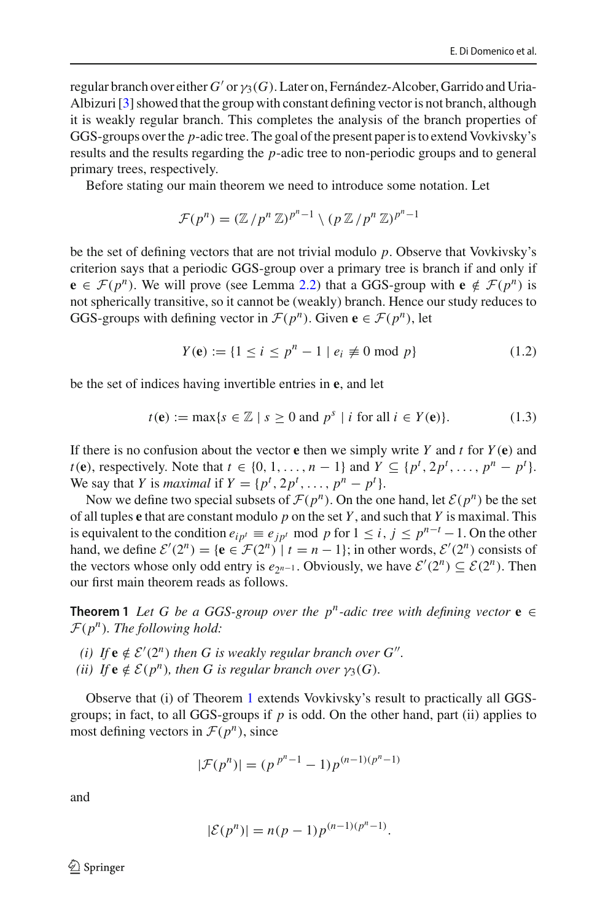regular branch over either  $G'$  or  $\gamma_3(G)$ . Later on, Fernández-Alcober, Garrido and Uria-Albizuri [\[3\]](#page-16-6) showed that the group with constant defining vector is not branch, although it is weakly regular branch. This completes the analysis of the branch properties of GGS-groups over the *p*-adic tree. The goal of the present paper is to extend Vovkivsky's results and the results regarding the *p*-adic tree to non-periodic groups and to general primary trees, respectively.

Before stating our main theorem we need to introduce some notation. Let

$$
\mathcal{F}(p^n) = (\mathbb{Z}/p^n \mathbb{Z})^{p^n-1} \setminus (p \mathbb{Z}/p^n \mathbb{Z})^{p^n-1}
$$

be the set of defining vectors that are not trivial modulo *p*. Observe that Vovkivsky's criterion says that a periodic GGS-group over a primary tree is branch if and only if **e** ∈ *F*(*p<sup>n</sup>*). We will prove (see Lemma [2.2\)](#page-5-0) that a GGS-group with **e**  $\notin$  *F*(*p<sup>n</sup>*) is not spherically transitive, so it cannot be (weakly) branch. Hence our study reduces to GGS-groups with defining vector in  $\mathcal{F}(p^n)$ . Given  $e \in \mathcal{F}(p^n)$ , let

$$
Y(\mathbf{e}) := \{ 1 \le i \le p^n - 1 \mid e_i \not\equiv 0 \bmod p \}
$$
 (1.2)

be the set of indices having invertible entries in **e**, and let

<span id="page-3-1"></span>
$$
t(\mathbf{e}) := \max\{s \in \mathbb{Z} \mid s \ge 0 \text{ and } p^s \mid i \text{ for all } i \in Y(\mathbf{e})\}.
$$
 (1.3)

If there is no confusion about the vector **e** then we simply write *Y* and *t* for *Y* (**e**) and *t*(**e**), respectively. Note that  $t \in \{0, 1, \ldots, n-1\}$  and  $Y \subseteq \{p^t, 2p^t, \ldots, p^n - p^t\}$ . We say that *Y* is *maximal* if  $Y = \{p^t, 2p^t, \dots, p^n - p^t\}.$ 

Now we define two special subsets of  $\mathcal{F}(p^n)$ . On the one hand, let  $\mathcal{E}(p^n)$  be the set of all tuples **e** that are constant modulo *p* on the set *Y* , and such that *Y* is maximal. This is equivalent to the condition  $e_{ip^t} \equiv e_{jp^t} \mod p$  for  $1 \le i, j \le p^{n-t} - 1$ . On the other hand, we define  $\mathcal{E}'(2^n) = {\mathbf{e} \in \mathcal{F}(2^n) \mid t = n - 1}$ ; in other words,  $\mathcal{E}'(2^n)$  consists of the vectors whose only odd entry is  $e_{2n-1}$ . Obviously, we have  $\mathcal{E}'(2^n) \subseteq \mathcal{E}(2^n)$ . Then our first main theorem reads as follows.

<span id="page-3-0"></span>**Theorem 1** Let G be a GGS-group over the  $p^n$ -adic tree with defining vector  $e \in$ *<sup>F</sup>*(*pn*)*. The following hold:*

- *(i)* If  $e \notin \mathcal{E}'(2^n)$  then G is weakly regular branch over G''.
- *(ii) If*  $e \notin \mathcal{E}(p^n)$ *, then G is regular branch over*  $\gamma_3(G)$ *.*

Observe that (i) of Theorem [1](#page-3-0) extends Vovkivsky's result to practically all GGSgroups; in fact, to all GGS-groups if *p* is odd. On the other hand, part (ii) applies to most defining vectors in  $\mathcal{F}(p^n)$ , since

$$
|\mathcal{F}(p^n)| = (p^{p^n-1} - 1)p^{(n-1)(p^n-1)}
$$

and

$$
|\mathcal{E}(p^n)| = n(p-1)p^{(n-1)(p^n-1)}.
$$

 $\textcircled{2}$  Springer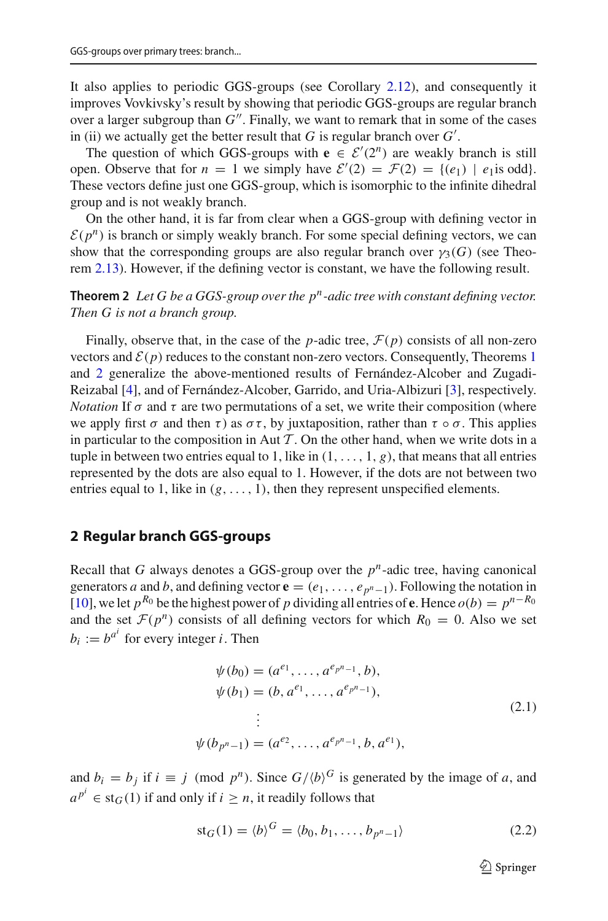It also applies to periodic GGS-groups (see Corollary [2.12\)](#page-11-0), and consequently it improves Vovkivsky's result by showing that periodic GGS-groups are regular branch over a larger subgroup than  $G''$ . Finally, we want to remark that in some of the cases in (ii) we actually get the better result that  $G$  is regular branch over  $G'$ .

The question of which GGS-groups with  $\mathbf{e} \in \mathcal{E}'(2^n)$  are weakly branch is still open. Observe that for  $n = 1$  we simply have  $\mathcal{E}'(2) = \mathcal{F}(2) = \{(e_1) \mid e_1 \text{ is odd}\}.$ These vectors define just one GGS-group, which is isomorphic to the infinite dihedral group and is not weakly branch.

On the other hand, it is far from clear when a GGS-group with defining vector in  $E(p^n)$  is branch or simply weakly branch. For some special defining vectors, we can show that the corresponding groups are also regular branch over  $\gamma_3(G)$  (see Theorem [2.13\)](#page-11-1). However, if the defining vector is constant, we have the following result.

<span id="page-4-0"></span>**Theorem 2** *Let G be a GGS-group over the pn-adic tree with constant defining vector. Then G is not a branch group.*

Finally, observe that, in the case of the *p*-adic tree,  $\mathcal{F}(p)$  consists of all non-zero vectors and  $\mathcal{E}(p)$  reduces to the constant non-zero vectors. Consequently, Theorems [1](#page-3-0) and [2](#page-4-0) generalize the above-mentioned results of Fernández-Alcober and Zugadi-Reizabal [\[4](#page-16-5)], and of Fernández-Alcober, Garrido, and Uria-Albizuri [\[3](#page-16-6)], respectively. *Notation* If  $\sigma$  and  $\tau$  are two permutations of a set, we write their composition (where we apply first  $\sigma$  and then  $\tau$ ) as  $\sigma\tau$ , by juxtaposition, rather than  $\tau \circ \sigma$ . This applies in particular to the composition in Aut  $\mathcal T$ . On the other hand, when we write dots in a tuple in between two entries equal to 1, like in  $(1, \ldots, 1, g)$ , that means that all entries represented by the dots are also equal to 1. However, if the dots are not between two entries equal to 1, like in  $(g, \ldots, 1)$ , then they represent unspecified elements.

#### **2 Regular branch GGS-groups**

Recall that *G* always denotes a GGS-group over the  $p^n$ -adic tree, having canonical generators *a* and *b*, and defining vector  $\mathbf{e} = (e_1, \ldots, e_{p^n-1})$ . Following the notation in [\[10](#page-16-4)], we let  $p^{R_0}$  be the highest power of *p* dividing all entries of **e**. Hence  $o(b) = p^{n-R_0}$ and the set  $\mathcal{F}(p^n)$  consists of all defining vectors for which  $R_0 = 0$ . Also we set  $b_i := b^{a^i}$  for every integer *i*. Then

$$
\psi(b_0) = (a^{e_1}, \dots, a^{e_{p^{n-1}}}, b), \n\psi(b_1) = (b, a^{e_1}, \dots, a^{e_{p^{n-1}}}), \n\vdots \n\psi(b_{p^n-1}) = (a^{e_2}, \dots, a^{e_{p^n-1}}, b, a^{e_1}),
$$
\n(2.1)

and  $b_i = b_j$  if  $i \equiv j \pmod{p^n}$ . Since  $G/\langle b \rangle^G$  is generated by the image of *a*, and  $a^{p^i} \in \text{st}_G(1)$  if and only if  $i \geq n$ , it readily follows that

<span id="page-4-1"></span>
$$
st_G(1) = \langle b \rangle^G = \langle b_0, b_1, \dots, b_{p^n - 1} \rangle \tag{2.2}
$$

 $\mathcal{D}$  Springer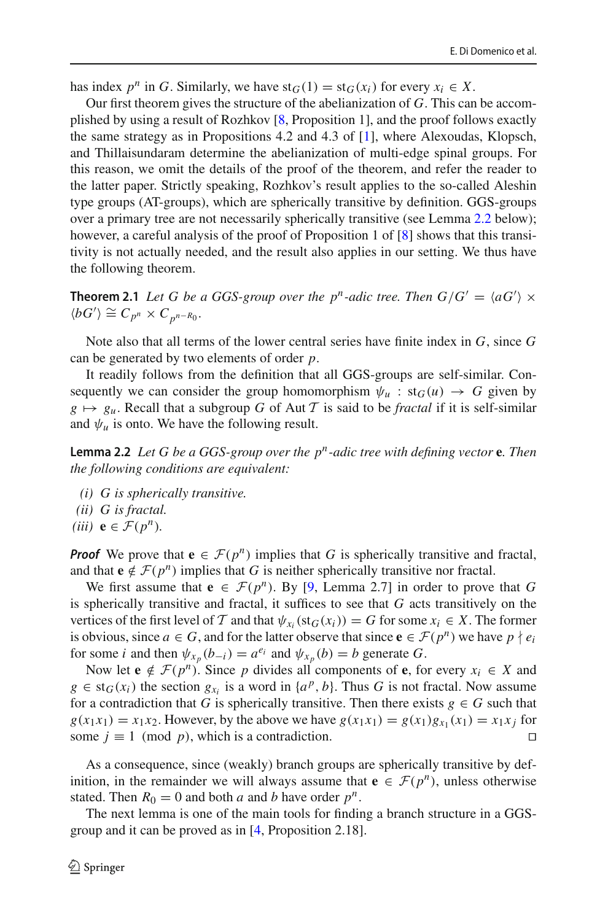has index  $p^n$  in *G*. Similarly, we have  $st_G(1) = st_G(x_i)$  for every  $x_i \in X$ .

Our first theorem gives the structure of the abelianization of *G*. This can be accomplished by using a result of Rozhkov [\[8](#page-16-7), Proposition 1], and the proof follows exactly the same strategy as in Propositions 4.2 and 4.3 of [\[1\]](#page-16-8), where Alexoudas, Klopsch, and Thillaisundaram determine the abelianization of multi-edge spinal groups. For this reason, we omit the details of the proof of the theorem, and refer the reader to the latter paper. Strictly speaking, Rozhkov's result applies to the so-called Aleshin type groups (AT-groups), which are spherically transitive by definition. GGS-groups over a primary tree are not necessarily spherically transitive (see Lemma [2.2](#page-5-0) below); however, a careful analysis of the proof of Proposition 1 of [\[8](#page-16-7)] shows that this transitivity is not actually needed, and the result also applies in our setting. We thus have the following theorem.

<span id="page-5-2"></span>**Theorem 2.1** *Let G be a GGS-group over the p<sup><i>n*</sup>-adic tree. Then  $G/G' = \langle aG' \rangle \times$  $\langle bG' \rangle \cong C_{p^n} \times C_{p^{n-R_0}}.$ 

Note also that all terms of the lower central series have finite index in *G*, since *G* can be generated by two elements of order *p*.

It readily follows from the definition that all GGS-groups are self-similar. Consequently we can consider the group homomorphism  $\psi_u$  : st<sub>G</sub>(*u*)  $\rightarrow$  G given by  $g \mapsto g_u$ . Recall that a subgroup *G* of Aut *T* is said to be *fractal* if it is self-similar and  $\psi_u$  is onto. We have the following result.

<span id="page-5-0"></span>**Lemma 2.2** *Let G be a GGS-group over the pn-adic tree with defining vector* **e***. Then the following conditions are equivalent:*

- *(i) G is spherically transitive.*
- *(ii) G is fractal.*
- *(iii)*  $e \in \mathcal{F}(p^n)$ .

*Proof* We prove that  $e \in \mathcal{F}(p^n)$  implies that *G* is spherically transitive and fractal, and that  $e \notin \mathcal{F}(p^n)$  implies that *G* is neither spherically transitive nor fractal.

We first assume that  $e \in \mathcal{F}(p^n)$ . By [\[9](#page-16-9), Lemma 2.7] in order to prove that *G* is spherically transitive and fractal, it suffices to see that *G* acts transitively on the vertices of the first level of *T* and that  $\psi_{x_i}(st_G(x_i)) = G$  for some  $x_i \in X$ . The former is obvious, since  $a \in G$ , and for the latter observe that since  $e \in \mathcal{F}(p^n)$  we have  $p \nmid e_i$ for some *i* and then  $\psi_{x_n}(b_{-i}) = a^{e_i}$  and  $\psi_{x_n}(b) = b$  generate *G*.

Now let  $e \notin \mathcal{F}(p^n)$ . Since *p* divides all components of **e**, for every  $x_i \in X$  and  $g \in \text{st}_G(x_i)$  the section  $g_{x_i}$  is a word in  $\{a^p, b\}$ . Thus *G* is not fractal. Now assume for a contradiction that *G* is spherically transitive. Then there exists  $g \in G$  such that  $g(x_1x_1) = x_1x_2$ . However, by the above we have  $g(x_1x_1) = g(x_1)g_{x_1}(x_1) = x_1x_j$  for some  $j \equiv 1 \pmod{p}$ , which is a contradiction.

As a consequence, since (weakly) branch groups are spherically transitive by definition, in the remainder we will always assume that  $\mathbf{e} \in \mathcal{F}(p^n)$ , unless otherwise stated. Then  $R_0 = 0$  and both *a* and *b* have order  $p^n$ .

<span id="page-5-1"></span>The next lemma is one of the main tools for finding a branch structure in a GGSgroup and it can be proved as in [\[4,](#page-16-5) Proposition 2.18].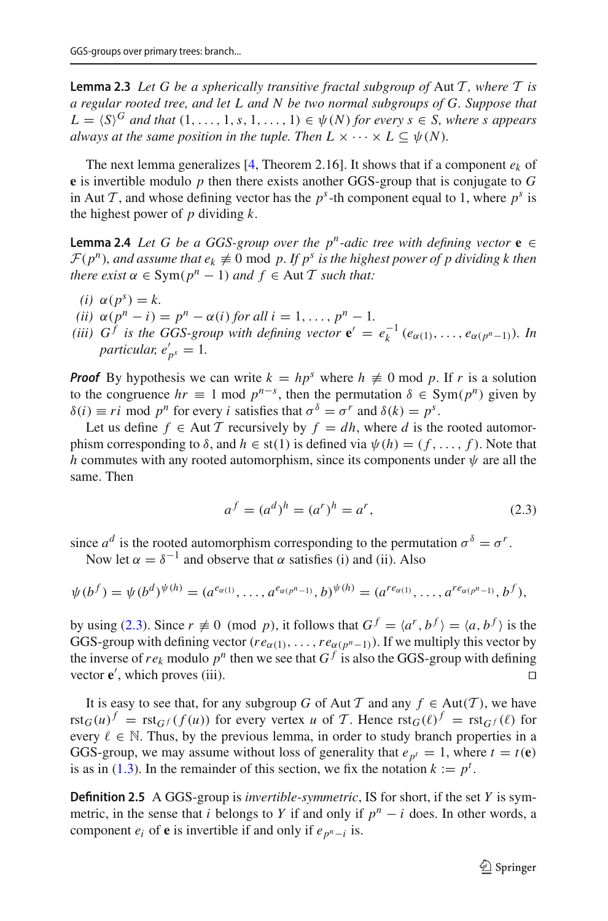**Lemma 2.3** *Let G be a spherically transitive fractal subgroup of* Aut *T , where T is a regular rooted tree, and let L and N be two normal subgroups of G. Suppose that*  $L = \langle S \rangle^G$  *and that*  $(1, \ldots, 1, s, 1, \ldots, 1) \in \psi(N)$  *for every s*  $\in S$ *, where s appears always at the same position in the tuple. Then*  $L \times \cdots \times L \subseteq \psi(N)$ *.* 

The next lemma generalizes  $[4,$  Theorem 2.16]. It shows that if a component  $e_k$  of **e** is invertible modulo *p* then there exists another GGS-group that is conjugate to *G* in Aut *T*, and whose defining vector has the  $p^s$ -th component equal to 1, where  $p^s$  is the highest power of *p* dividing *k*.

<span id="page-6-1"></span>**Lemma 2.4** *Let G be a GGS-group over the p<sup>n</sup>-adic tree with defining vector*  $e \in$  $\mathcal{F}(p^n)$ , and assume that  $e_k \neq 0$  mod p. If  $p^s$  is the highest power of p dividing k then *there exist*  $\alpha \in \text{Sym}(p^n - 1)$  *and*  $f \in \text{Aut } \mathcal{T}$  *such that:* 

- $(i)$   $\alpha(p^s) = k$ .
- *(ii)*  $\alpha(p^n i) = p^n \alpha(i)$  *for all*  $i = 1, ..., p^n 1$ .
- *(iii)*  $G^f$  *is the GGS-group with defining vector*  $\mathbf{e}' = e_k^{-1} (e_{\alpha(1)}, \ldots, e_{\alpha(p^n-1)})$ *. In*  $particular, e'_{p^s} = 1.$

*Proof* By hypothesis we can write  $k = hp^s$  where  $h \neq 0$  mod p. If r is a solution to the congruence  $hr \equiv 1 \text{ mod } p^{n-s}$ , then the permutation  $\delta \in \text{Sym}(p^n)$  given by  $\delta(i) \equiv ri \mod p^n$  for every *i* satisfies that  $\sigma^{\delta} = \sigma^r$  and  $\delta(k) = p^s$ .

Let us define  $f \in Aut\mathcal{T}$  recursively by  $f = dh$ , where *d* is the rooted automorphism corresponding to  $\delta$ , and  $h \in$  st(1) is defined via  $\psi(h) = (f, \ldots, f)$ . Note that *h* commutes with any rooted automorphism, since its components under  $\psi$  are all the same. Then

<span id="page-6-0"></span>
$$
a^f = (a^d)^h = (a^r)^h = a^r,
$$
\n(2.3)

since  $a^d$  is the rooted automorphism corresponding to the permutation  $\sigma^{\delta} = \sigma^r$ . Now let  $\alpha = \delta^{-1}$  and observe that  $\alpha$  satisfies (i) and (ii). Also

$$
\psi(b^f) = \psi(b^d)^{\psi(h)} = (a^{e_{\alpha(1)}}, \dots, a^{e_{\alpha(p^n-1)}}, b)^{\psi(h)} = (a^{re_{\alpha(1)}}, \dots, a^{re_{\alpha(p^n-1)}}, b^f),
$$

by using [\(2.3\)](#page-6-0). Since  $r \neq 0 \pmod{p}$ , it follows that  $G^f = \langle a^r, b^f \rangle = \langle a, b^f \rangle$  is the GGS-group with defining vector ( $re_{\alpha(1)}, \ldots, re_{\alpha(p^n-1)}$ ). If we multiply this vector by the inverse of  $re_k$  modulo  $p^n$  then we see that  $G^f$  is also the GGS-group with defining vector  $e'$ , which proves (iii).  $\square$ 

It is easy to see that, for any subgroup *G* of Aut *T* and any  $f \in Aut(T)$ , we have rst<sub>*G*</sub>(*u*)<sup>*f*</sup> = rst<sub>*G*</sub> *f* (*f* (*u*)) for every vertex *u* of *T*. Hence  $\text{rst}_G(\ell)^f$  =  $\text{rst}_G(\ell)$  for every  $\ell \in \mathbb{N}$ . Thus, by the previous lemma, in order to study branch properties in a GGS-group, we may assume without loss of generality that  $e_{p^t} = 1$ , where  $t = t(\mathbf{e})$ is as in [\(1.3\)](#page-3-1). In the remainder of this section, we fix the notation  $k := p^t$ .

**Definition 2.5** A GGS-group is *invertible-symmetric*, IS for short, if the set *Y* is symmetric, in the sense that *i* belongs to *Y* if and only if  $p^n - i$  does. In other words, a component  $e_i$  of **e** is invertible if and only if  $e_{p^n-i}$  is.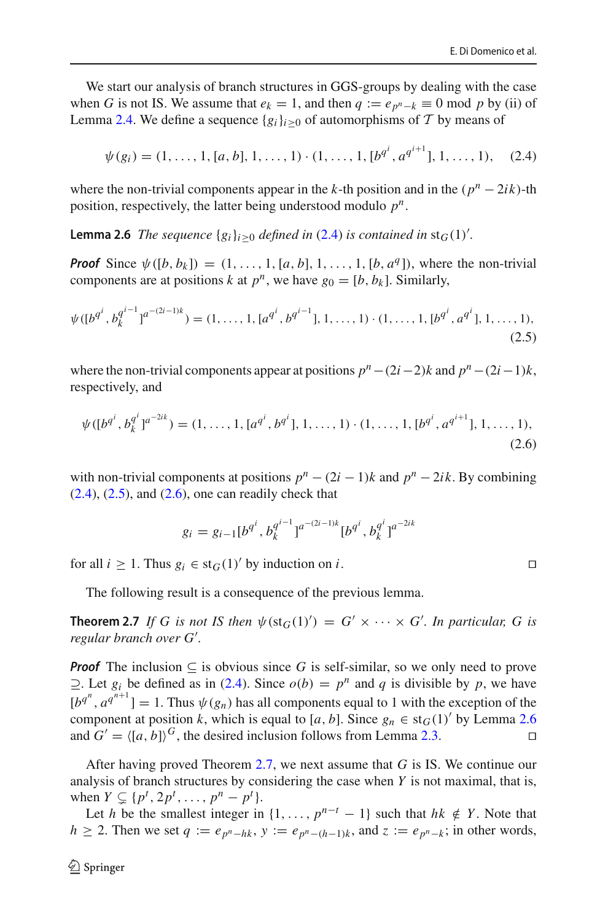We start our analysis of branch structures in GGS-groups by dealing with the case when *G* is not IS. We assume that  $e_k = 1$ , and then  $q := e_{p^n - k} \equiv 0 \mod p$  by (ii) of Lemma [2.4.](#page-6-1) We define a sequence  $\{g_i\}_{i>0}$  of automorphisms of  $\mathcal T$  by means of

<span id="page-7-0"></span>
$$
\psi(g_i) = (1, \dots, 1, [a, b], 1, \dots, 1) \cdot (1, \dots, 1, [b^{q^i}, a^{q^{i+1}}], 1, \dots, 1), \quad (2.4)
$$

<span id="page-7-3"></span>where the non-trivial components appear in the *k*-th position and in the  $(p^n - 2ik)$ -th position, respectively, the latter being understood modulo *pn*.

**Lemma 2.6** *The sequence*  ${g_i}_{i\geq0}$  *defined in* [\(2.4\)](#page-7-0) *is contained in* st<sub>*G*</sub>(1)<sup>'</sup>.

*Proof* Since  $\psi([b, b_k]) = (1, \ldots, 1, [a, b], 1, \ldots, 1, [b, a^q])$ , where the non-trivial components are at positions *k* at  $p^n$ , we have  $g_0 = [b, b_k]$ . Similarly,

<span id="page-7-1"></span>
$$
\psi([b^{q^i}, b_k^{q^{i-1}}]^{a^{-(2i-1)k}}) = (1, \dots, 1, [a^{q^i}, b^{q^{i-1}}], 1, \dots, 1) \cdot (1, \dots, 1, [b^{q^i}, a^{q^i}], 1, \dots, 1),
$$
\n(2.5)

where the non-trivial components appear at positions  $p^n - (2i-2)k$  and  $p^n - (2i-1)k$ , respectively, and

<span id="page-7-2"></span>
$$
\psi([b^{q^i}, b^{q^i}]^{a^{-2ik}}) = (1, \dots, 1, [a^{q^i}, b^{q^i}], 1, \dots, 1) \cdot (1, \dots, 1, [b^{q^i}, a^{q^{i+1}}], 1, \dots, 1),
$$
\n(2.6)

with non-trivial components at positions  $p^n - (2i - 1)k$  and  $p^n - 2ik$ . By combining  $(2.4)$ ,  $(2.5)$ , and  $(2.6)$ , one can readily check that

$$
g_i = g_{i-1} [b^{q^i}, b_k^{q^{i-1}}]^{a^{-(2i-1)k}} [b^{q^i}, b_k^{q^i}]^{a^{-2ik}}
$$

for all  $i \geq 1$ . Thus  $g_i \in \text{st}_G(1)'$  by induction on *i*.

<span id="page-7-4"></span>The following result is a consequence of the previous lemma.

**Theorem 2.7** If G is not IS then  $\psi$ (st<sub>G</sub>(1)') = G'  $\times \cdots \times G'$ . In particular, G is *regular branch over G*- *.*

*Proof* The inclusion  $\subseteq$  is obvious since G is self-similar, so we only need to prove ⊃. Let  $g_i$  be defined as in [\(2.4\)](#page-7-0). Since  $o(b) = p^n$  and *q* is divisible by *p*, we have  $[b^{q^n}, a^{q^{n+1}}] = 1$ . Thus  $\psi(g_n)$  has all components equal to 1 with the exception of the component at position *k*, which is equal to [*a*, *b*]. Since  $g_n \in \text{st}_G(1)'$  by Lemma [2.6](#page-7-3) and  $G' = \langle [a, b] \rangle^G$ , the desired inclusion follows from Lemma [2.3.](#page-5-1)

After having proved Theorem [2.7,](#page-7-4) we next assume that *G* is IS. We continue our analysis of branch structures by considering the case when *Y* is not maximal, that is, when  $Y \subsetneq \{p^t, 2p^t, \ldots, p^n - p^t\}.$ 

Let *h* be the smallest integer in  $\{1, \ldots, p^{n-t} - 1\}$  such that  $hk \notin Y$ . Note that *h* ≥ 2. Then we set *q* :=  $e_{p^n-hk}$ , *y* :=  $e_{p^n-(h-1)k}$ , and *z* :=  $e_{p^n-k}$ ; in other words,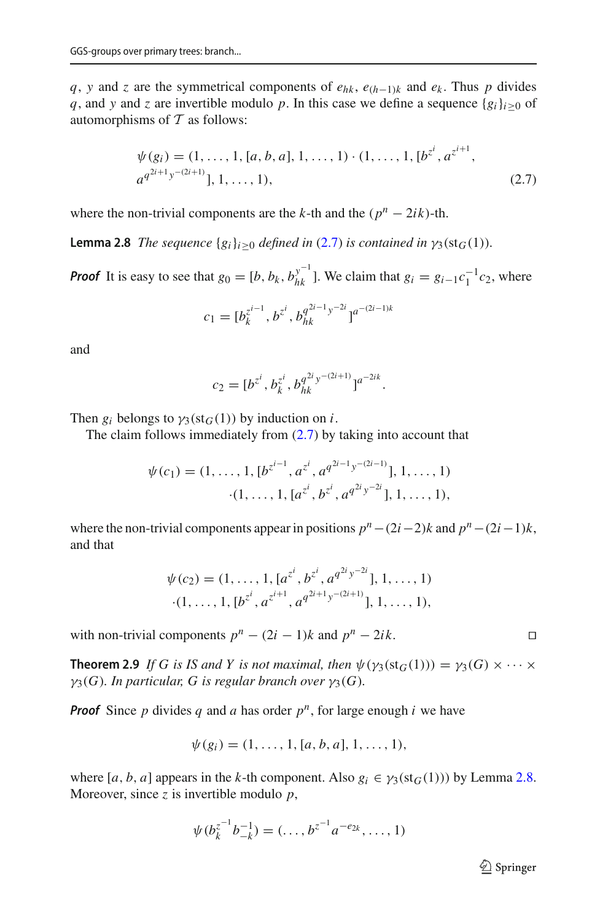*q*, *y* and *z* are the symmetrical components of  $e_{hk}$ ,  $e_{(h-1)k}$  and  $e_k$ . Thus *p* divides *q*, and *y* and *z* are invertible modulo *p*. In this case we define a sequence  ${g_i}_{i>0}$  of automorphisms of *T* as follows:

<span id="page-8-0"></span>
$$
\psi(g_i) = (1, \dots, 1, [a, b, a], 1, \dots, 1) \cdot (1, \dots, 1, [b^{z^i}, a^{z^{i+1}}, a^{q^{2i+1}y^{-(2i+1)}}], 1, \dots, 1),
$$
\n(2.7)

<span id="page-8-1"></span>where the non-trivial components are the *k*-th and the  $(p^n - 2ik)$ -th.

**Lemma 2.8** *The sequence*  ${g_i}_{i>0}$  *defined in* [\(2.7\)](#page-8-0) *is contained in*  $\gamma_3(st_G(1))$ *.* 

*Proof* It is easy to see that  $g_0 = [b, b_k, b_{hk}^{y^{-1}}]$ . We claim that  $g_i = g_{i-1}c_1^{-1}c_2$ , where

$$
c_1 = [b_k^{z^{i-1}}, b^{z^i}, b_{hk}^{q^{2i-1}y^{-2i}}]^{a^{-(2i-1)k}}
$$

and

$$
c_2 = [b^{z^i}, b_k^{z^i}, b_{hk}^{q^{2i}y^{-(2i+1)}}]^{a^{-2ik}}.
$$

Then  $g_i$  belongs to  $\gamma_3(st_G(1))$  by induction on *i*.

The claim follows immediately from  $(2.7)$  by taking into account that

$$
\psi(c_1) = (1, \dots, 1, [b^{z^{i-1}}, a^{z^i}, a^{q^{2i-1}y^{-(2i-1)}}], 1, \dots, 1)
$$

$$
\cdot (1, \dots, 1, [a^{z^i}, b^{z^i}, a^{q^{2i}y^{-2i}}], 1, \dots, 1),
$$

where the non-trivial components appear in positions  $p^n - (2i-2)k$  and  $p^n - (2i-1)k$ , and that

$$
\psi(c_2) = (1, \ldots, 1, [a^{z^i}, b^{z^i}, a^{q^{2i}y^{-2i}}], 1, \ldots, 1)
$$

$$
(1, \ldots, 1, [b^{z^i}, a^{z^{i+1}}, a^{q^{2i+1}y^{-(2i+1)}}], 1, \ldots, 1),
$$

with non-trivial components  $p^n - (2i - 1)k$  and  $p^n - 2ik$ .

**Theorem 2.9** *If G is IS and Y is not maximal, then*  $\psi(\gamma_3(\text{st}_G(1))) = \gamma_3(G) \times \cdots \times$  $\gamma_3(G)$ *. In particular, G is regular branch over*  $\gamma_3(G)$ *.* 

*Proof* Since *p* divides *q* and *a* has order  $p^n$ , for large enough *i* we have

$$
\psi(g_i) = (1, \ldots, 1, [a, b, a], 1, \ldots, 1),
$$

where  $[a, b, a]$  appears in the *k*-th component. Also  $g_i \in \gamma_3(st_G(1))$  by Lemma [2.8.](#page-8-1) Moreover, since *z* is invertible modulo *p*,

$$
\psi(b_k^{z^{-1}}b_{-k}^{-1})=(\ldots,b^{z^{-1}}a^{-e_{2k}},\ldots,1)
$$

 $\mathcal{D}$  Springer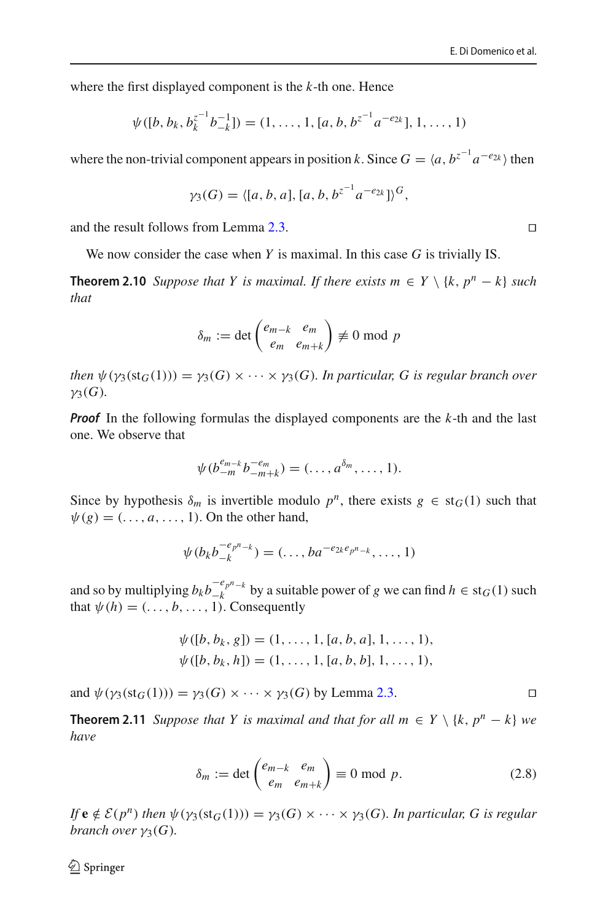where the first displayed component is the *k*-th one. Hence

$$
\psi([b, b_k, b_k^{z^{-1}}b_{-k}^{-1}]) = (1, \ldots, 1, [a, b, b^{z^{-1}}a^{-e_{2k}}], 1, \ldots, 1)
$$

where the non-trivial component appears in position *k*. Since  $G = \langle a, b^{z^{-1}} a^{-e_{2k}} \rangle$  then

$$
\gamma_3(G) = \langle [a, b, a], [a, b, b^{z^{-1}} a^{-e_{2k}}] \rangle^G,
$$

and the result follows from Lemma [2.3.](#page-5-1)

We now consider the case when *Y* is maximal. In this case *G* is trivially IS.

**Theorem 2.10** *Suppose that Y is maximal. If there exists*  $m \in Y \setminus \{k, p^n - k\}$  *such that*

$$
\delta_m := \det \begin{pmatrix} e_{m-k} & e_m \\ e_m & e_{m+k} \end{pmatrix} \not\equiv 0 \bmod p
$$

*then*  $\psi(\gamma_3(\text{st}_G(1))) = \gamma_3(G) \times \cdots \times \gamma_3(G)$ *. In particular, G is regular branch over*  $\nu_3(G)$ .

*Proof* In the following formulas the displayed components are the *k*-th and the last one. We observe that

$$
\psi(b_{-m}^{e_{m-k}}b_{-m+k}^{-e_m})=(\ldots,a^{\delta_m},\ldots,1).
$$

Since by hypothesis  $\delta_m$  is invertible modulo  $p^n$ , there exists  $g \in st_G(1)$  such that  $\psi(g) = (\ldots, a, \ldots, 1)$ . On the other hand,

$$
\psi(b_k b_{-k}^{-e_{p^n-k}}) = (\ldots, ba^{-e_{2k}e_{p^n-k}}, \ldots, 1)
$$

and so by multiplying  $b_k b_{-k}^{-e_{p^n-k}}$  by a suitable power of *g* we can find  $h \in \text{st}_G(1)$  such that  $\psi(h) = (\ldots, b, \ldots, 1)$ . Consequently

$$
\psi([b, b_k, g]) = (1, \dots, 1, [a, b, a], 1, \dots, 1),
$$
  

$$
\psi([b, b_k, h]) = (1, \dots, 1, [a, b, b], 1, \dots, 1),
$$

and  $\psi(\gamma_3(st_G(1))) = \gamma_3(G) \times \cdots \times \gamma_3(G)$  by Lemma [2.3.](#page-5-1)

**Theorem 2.11** *Suppose that Y is maximal and that for all*  $m \in Y \setminus \{k, p^n - k\}$  *we have*

<span id="page-9-0"></span>
$$
\delta_m := \det \begin{pmatrix} e_{m-k} & e_m \\ e_m & e_{m+k} \end{pmatrix} \equiv 0 \text{ mod } p. \tag{2.8}
$$

*If*  $e \notin \mathcal{E}(p^n)$  *then*  $\psi(\gamma_3(st_G(1))) = \gamma_3(G) \times \cdots \times \gamma_3(G)$ *. In particular, G is regular branch over*  $\gamma_3(G)$ *.* 

 $\textcircled{2}$  Springer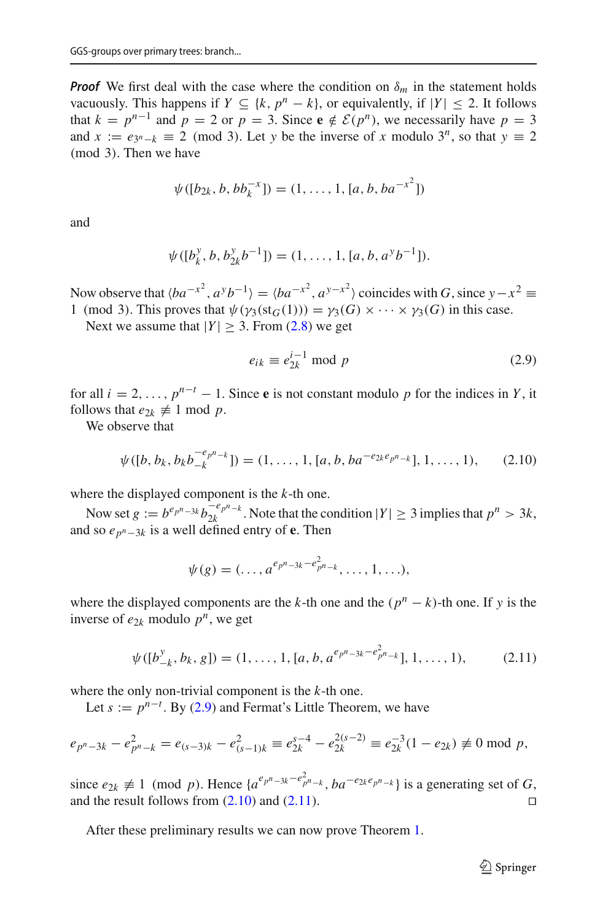*Proof* We first deal with the case where the condition on  $\delta_m$  in the statement holds vacuously. This happens if  $Y \subseteq \{k, p^n - k\}$ , or equivalently, if  $|Y| \le 2$ . It follows that  $k = p^{n-1}$  and  $p = 2$  or  $p = 3$ . Since  $e \notin \mathcal{E}(p^n)$ , we necessarily have  $p = 3$ and  $x := e_{3^n-k} \equiv 2 \pmod{3}$ . Let *y* be the inverse of *x* modulo 3<sup>*n*</sup>, so that  $y \equiv 2$ (mod 3). Then we have

$$
\psi([b_{2k}, b, bb_k^{-x}]) = (1, ..., 1, [a, b, ba^{-x^2}])
$$

and

$$
\psi([b_k^y, b, b_{2k}^y b^{-1}]) = (1, ..., 1, [a, b, a^y b^{-1}]).
$$

Now observe that  $\langle ba^{-x^2}, a^y b^{-1} \rangle = \langle ba^{-x^2}, a^{y-x^2} \rangle$  coincides with *G*, since  $y - x^2 \equiv$ 1 (mod 3). This proves that  $\psi(\gamma_3(st_G(1))) = \gamma_3(G) \times \cdots \times \gamma_3(G)$  in this case.

Next we assume that  $|Y| \geq 3$ . From [\(2.8\)](#page-9-0) we get

<span id="page-10-0"></span>
$$
e_{ik} \equiv e_{2k}^{i-1} \mod p \tag{2.9}
$$

for all  $i = 2, \ldots, p^{n-t} - 1$ . Since **e** is not constant modulo *p* for the indices in *Y*, it follows that  $e_{2k} \neq 1 \text{ mod } p$ .

We observe that

<span id="page-10-1"></span>
$$
\psi([b, b_k, b_k b_{-k}^{-e_{p^n-k}}]) = (1, \ldots, 1, [a, b, ba^{-e_{2k}e_{p^n-k}}], 1, \ldots, 1), \qquad (2.10)
$$

where the displayed component is the *k*-th one.

Now set  $g := b^e p^n - 3k b_{2k}^{-e} p^n - k$ . Note that the condition  $|Y| \ge 3$  implies that  $p^n > 3k$ , and so *epn*−3*<sup>k</sup>* is a well defined entry of **e**. Then

$$
\psi(g) = (\ldots, a^{e_{p^n-3k} - e_{p^n-k}^2}, \ldots, 1, \ldots),
$$

where the displayed components are the *k*-th one and the  $(p^n - k)$ -th one. If y is the inverse of  $e_{2k}$  modulo  $p^n$ , we get

<span id="page-10-2"></span>
$$
\psi([b_{-k}^y, b_k, g]) = (1, \dots, 1, [a, b, a^{e_{p^n - 3k} - e_{p^n - k}^2}], 1, \dots, 1),
$$
 (2.11)

where the only non-trivial component is the *k*-th one.

Let  $s := p^{n-t}$ . By [\(2.9\)](#page-10-0) and Fermat's Little Theorem, we have

$$
e_{p^{n}-3k} - e_{p^{n}-k}^{2} = e_{(s-3)k} - e_{(s-1)k}^{2} \equiv e_{2k}^{s-4} - e_{2k}^{2(s-2)} \equiv e_{2k}^{-3} (1 - e_{2k}) \not\equiv 0 \mod p,
$$

since  $e_{2k} \not\equiv 1 \pmod{p}$ . Hence  $\{a^{e_{p^n-3k}-e_{p^n-k}^2}, ba^{-e_{2k}e_{p^n-k}}\}$  is a generating set of *G*, and the result follows from  $(2.10)$  and  $(2.11)$ .

After these preliminary results we can now prove Theorem [1.](#page-3-0)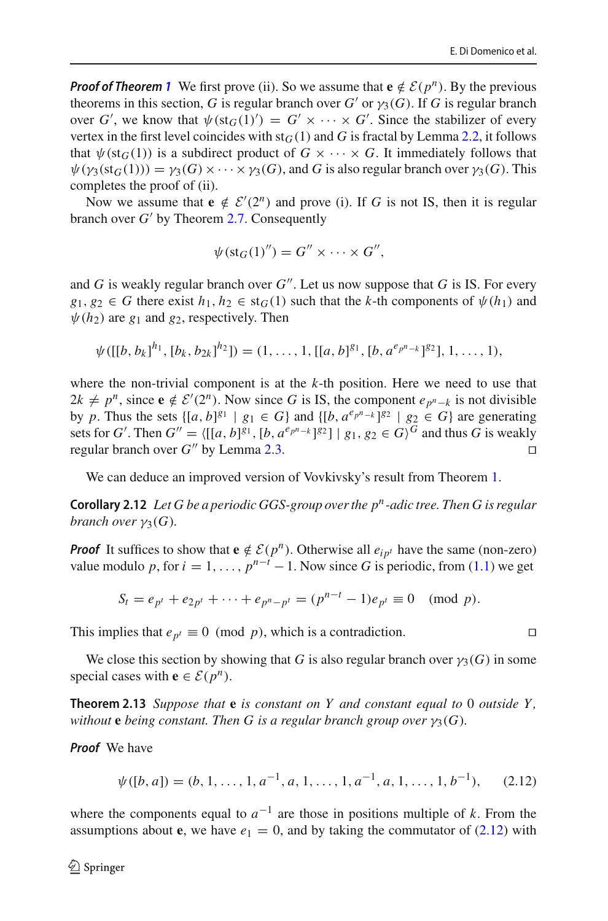*Proof of Theorem* [1](#page-3-0) We first prove (ii). So we assume that  $e \notin \mathcal{E}(p^n)$ . By the previous theorems in this section, *G* is regular branch over *G*<sup> $\prime$ </sup> or  $\gamma_3(G)$ . If *G* is regular branch over *G'*, we know that  $\psi$ (st<sub>*G*</sub>(1)') = *G'* × ··· × *G'*. Since the stabilizer of every vertex in the first level coincides with  $st<sub>G</sub>(1)$  and *G* is fractal by Lemma [2.2,](#page-5-0) it follows that  $\psi$ (st<sub>G</sub>(1)) is a subdirect product of  $G \times \cdots \times G$ . It immediately follows that  $\psi(\gamma_3(st_G(1))) = \gamma_3(G) \times \cdots \times \gamma_3(G)$ , and *G* is also regular branch over  $\gamma_3(G)$ . This completes the proof of (ii).

Now we assume that  $e \notin \mathcal{E}'(2^n)$  and prove (i). If *G* is not IS, then it is regular branch over *G*- by Theorem [2.7.](#page-7-4) Consequently

$$
\psi(\text{st}_G(1)'') = G'' \times \cdots \times G'',
$$

and *G* is weakly regular branch over  $G''$ . Let us now suppose that *G* is IS. For every  $g_1, g_2 \in G$  there exist  $h_1, h_2 \in st_G(1)$  such that the *k*-th components of  $\psi(h_1)$  and  $\psi(h_2)$  are  $g_1$  and  $g_2$ , respectively. Then

$$
\psi([[b, b_k]^{h_1}, [b_k, b_{2k}]^{h_2}]) = (1, \ldots, 1, [[a, b]^{g_1}, [b, a^{e_{p^n-k}}]^{g_2}], 1, \ldots, 1),
$$

where the non-trivial component is at the *k*-th position. Here we need to use that  $2k \neq p^n$ , since **e** ∉  $\mathcal{E}'(2^n)$ . Now since *G* is IS, the component  $e_{p^n-k}$  is not divisible by *p*. Thus the sets  $\{[a, b]^{g_1} \mid g_1 \in G\}$  and  $\{[b, a^{e_p n-k}]^{g_2} \mid g_2 \in G\}$  are generating sets for *G'*. Then  $G'' = \langle [[a, b]^{g_1}, [b, a^{e_{p^n-k}}]^{g_2} ] \mid g_1, g_2 \in G \rangle^G$  and thus *G* is weakly regular branch over  $G''$  by Lemma [2.3.](#page-5-1)

<span id="page-11-0"></span>We can deduce an improved version of Vovkivsky's result from Theorem [1.](#page-3-0)

**Corollary 2.12** *Let G be a periodic GGS-group over the pn-adic tree. Then G is regular branch over*  $\gamma_3(G)$ *.* 

*Proof* It suffices to show that  $e \notin \mathcal{E}(p^n)$ . Otherwise all  $e_{ip^t}$  have the same (non-zero) value modulo *p*, for  $i = 1, ..., p^{n-t} - 1$ . Now since *G* is periodic, from [\(1.1\)](#page-2-0) we get

$$
S_t = e_{p^t} + e_{2p^t} + \dots + e_{p^n - p^t} = (p^{n-t} - 1)e_{p^t} \equiv 0 \pmod{p}.
$$

This implies that  $e_{p^t} \equiv 0 \pmod{p}$ , which is a contradiction.

<span id="page-11-1"></span>We close this section by showing that *G* is also regular branch over  $\gamma_3(G)$  in some special cases with **e**  $\in \mathcal{E}(p^n)$ .

**Theorem 2.13** *Suppose that* **e** *is constant on Y and constant equal to* 0 *outside Y , without* **e** *being constant. Then* G *is a regular branch group over*  $\gamma_3(G)$ *.* 

*Proof* We have

<span id="page-11-2"></span>
$$
\psi([b, a]) = (b, 1, \dots, 1, a^{-1}, a, 1, \dots, 1, a^{-1}, a, 1, \dots, 1, b^{-1}), \quad (2.12)
$$

where the components equal to  $a^{-1}$  are those in positions multiple of k. From the assumptions about **e**, we have  $e_1 = 0$ , and by taking the commutator of  $(2.12)$  with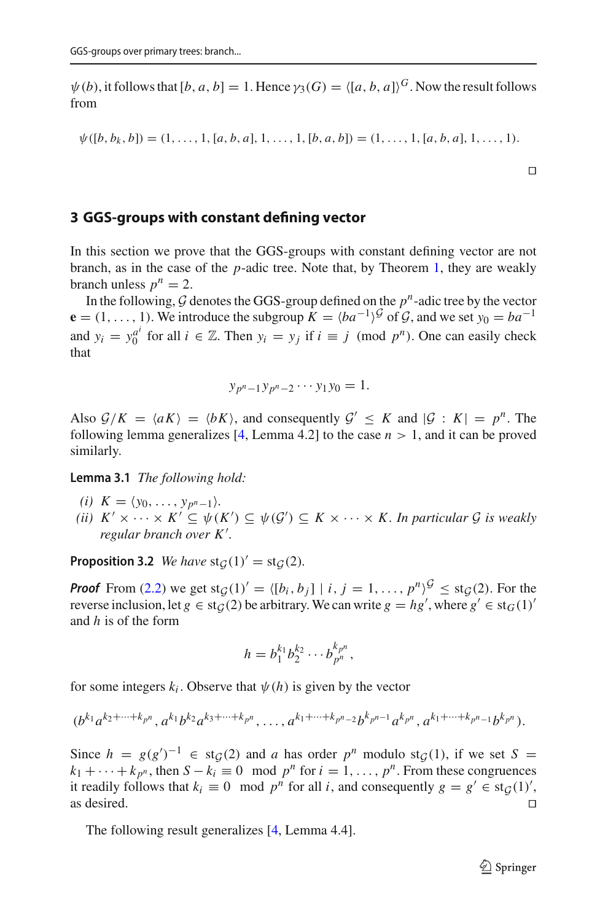$\psi(b)$ , it follows that  $[b, a, b] = 1$ . Hence  $\gamma_3(G) = \langle [a, b, a] \rangle^G$ . Now the result follows from

$$
\psi([b, b_k, b]) = (1, \ldots, 1, [a, b, a], 1, \ldots, 1, [b, a, b]) = (1, \ldots, 1, [a, b, a], 1, \ldots, 1).
$$

 $\Box$ 

## **3 GGS-groups with constant defining vector**

In this section we prove that the GGS-groups with constant defining vector are not branch, as in the case of the *p*-adic tree. Note that, by Theorem [1,](#page-3-0) they are weakly branch unless  $p^n = 2$ .

In the following,  $G$  denotes the GGS-group defined on the  $p^n$ -adic tree by the vector  $\mathbf{e} = (1, \ldots, 1)$ . We introduce the subgroup  $K = \langle ba^{-1} \rangle^{\mathcal{G}}$  of  $\mathcal{G}$ , and we set  $y_0 = ba^{-1}$ and  $y_i = y_0^{a^i}$  for all  $i \in \mathbb{Z}$ . Then  $y_i = y_j$  if  $i \equiv j \pmod{p^n}$ . One can easily check that

$$
y_{p^n-1}y_{p^n-2}\cdots y_1y_0=1.
$$

Also  $G/K = \langle aK \rangle = \langle bK \rangle$ , and consequently  $G' \leq K$  and  $|G : K| = p^n$ . The following lemma generalizes [\[4](#page-16-5), Lemma 4.2] to the case  $n > 1$ , and it can be proved similarly.

<span id="page-12-2"></span>**Lemma 3.1** *The following hold:*

- *(i)*  $K = \langle y_0, \ldots, y_{p^n-1} \rangle$ .
- *(ii)*  $K' \times \cdots \times K' \subseteq \psi(K') \subseteq \psi(\mathcal{G}') \subseteq K \times \cdots \times K$ . In particular  $\mathcal{G}$  is weakly *regular branch over K*- *.*

<span id="page-12-1"></span>**Proposition 3.2** *We have*  $\text{st}_{\mathcal{G}}(1)' = \text{st}_{\mathcal{G}}(2)$ *.* 

*Proof* From [\(2.2\)](#page-4-1) we get  $\text{st}_{G}(1)' = \{ [b_i, b_j] | i, j = 1, ..., p^n \}^G \leq \text{st}_{G}(2)$ . For the reverse inclusion, let  $g \in \text{st}_{\mathcal{G}}(2)$  be arbitrary. We can write  $g = hg'$ , where  $g' \in \text{st}_{G}(1)'$ and *h* is of the form

$$
h = b_1^{k_1} b_2^{k_2} \cdots b_{p^n}^{k_{p^n}},
$$

for some integers  $k_i$ . Observe that  $\psi(h)$  is given by the vector

$$
(b^{k_1}a^{k_2+\cdots+k_{p^n}},a^{k_1}b^{k_2}a^{k_3+\cdots+k_{p^n}},\ldots,a^{k_1+\cdots+k_{p^n-2}}b^{k_{p^{n-1}}}a^{k_{p^n}},a^{k_1+\cdots+k_{p^n-1}}b^{k_{p^n}}).
$$

Since  $h = g(g')^{-1} \in \text{st}_G(2)$  and *a* has order  $p^n$  modulo st $g(1)$ , if we set  $S =$  $k_1 + \cdots + k_{p^n}$ , then  $S - k_i \equiv 0 \mod p^n$  for  $i = 1, \ldots, p^n$ . From these congruences it readily follows that  $k_i \equiv 0 \mod p^n$  for all *i*, and consequently  $g = g' \in \text{st}_{\mathcal{G}}(1)'$ , as desired.  $\Box$ 

<span id="page-12-0"></span>The following result generalizes [\[4](#page-16-5), Lemma 4.4].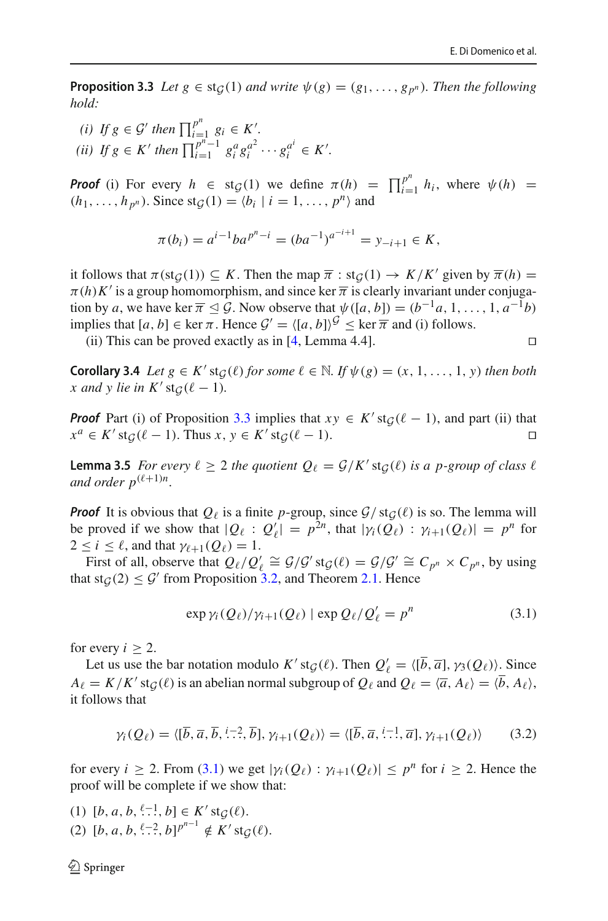**Proposition 3.3** *Let*  $g \in \text{st}_G(1)$  *and write*  $\psi(g) = (g_1, \ldots, g_p^n)$ *. Then the following hold:*

*(i) If*  $g \in \mathcal{G}'$  then  $\prod_{i=1}^{p^n} g_i \in K'$ . *(ii) If*  $g \in K'$  *then*  $\prod_{i=1}^{p^n-1} g_i^a g_i^{a^2} \cdots g_i^{a^i} \in K'.$ 

*Proof* (i) For every  $h \in \text{st}_{G}(1)$  we define  $\pi(h) = \prod_{i=1}^{p^n} h_i$ , where  $\psi(h) =$  $(h_1, \ldots, h_{p^n})$ . Since  $\text{st}_{\mathcal{G}}(1) = \langle b_i | i = 1, \ldots, p^n \rangle$  and

$$
\pi(b_i) = a^{i-1}ba^{p^n - i} = (ba^{-1})^{a^{-i+1}} = y_{-i+1} \in K,
$$

it follows that  $\pi(\text{st}_{\mathcal{G}}(1)) \subseteq K$ . Then the map  $\overline{\pi}$  :  $\text{st}_{\mathcal{G}}(1) \to K/K'$  given by  $\overline{\pi}(h) =$  $\pi(h)K'$  is a group homomorphism, and since ker  $\overline{\pi}$  is clearly invariant under conjugation by *a*, we have ker  $\overline{\pi} \leq \mathcal{G}$ . Now observe that  $\psi([a, b]) = (b^{-1}a, 1, \ldots, 1, a^{-1}b)$ implies that  $[a, b] \in \text{ker } \pi$ . Hence  $\mathcal{G}' = \langle [a, b] \rangle^{\mathcal{G}} \leq \text{ker } \overline{\pi}$  and (i) follows.

(ii) This can be proved exactly as in [\[4](#page-16-5), Lemma 4.4].  $\square$ 

<span id="page-13-2"></span>**Corollary 3.4** *Let*  $g \in K'$  st $G(\ell)$  *for some*  $\ell \in \mathbb{N}$ *. If*  $\psi(g) = (x, 1, \ldots, 1, y)$  *then both x* and *y* lie in  $K'$  st $_G(\ell-1)$ *.* 

*Proof* Part (i) of Proposition [3.3](#page-12-0) implies that  $xy \in K'$  st $g(\ell - 1)$ , and part (ii) that  $x^a \in K'$  st $g(\ell - 1)$ . Thus  $x, y \in K'$  st $g(\ell - 1)$ .

<span id="page-13-3"></span>**Lemma 3.5** *For every*  $\ell \geq 2$  *the quotient*  $Q_{\ell} = \mathcal{G}/K'$  st $\mathcal{G}(\ell)$  *is a p-group of class*  $\ell$ *and order*  $p^{(\ell+1)n}$ *.* 

*Proof* It is obvious that  $Q_\ell$  is a finite *p*-group, since  $G/\text{st}_G(\ell)$  is so. The lemma will be proved if we show that  $|Q_\ell : Q'_\ell| = p^{2n}$ , that  $|\gamma_i(Q_\ell) : \gamma_{i+1}(Q_\ell)| = p^n$  for  $2 \leq i \leq \ell$ , and that  $\gamma_{\ell+1}(Q_{\ell}) = 1$ .

First of all, observe that  $Q_{\ell}/Q_{\ell}' \cong G/G'$  st $_G(\ell) = G/G' \cong C_{p^n} \times C_{p^n}$ , by using that  $\text{st}_{\mathcal{G}}(2) \leq \mathcal{G}'$  from Proposition [3.2,](#page-12-1) and Theorem [2.1.](#page-5-2) Hence

<span id="page-13-0"></span>
$$
\exp \gamma_i (Q_\ell) / \gamma_{i+1} (Q_\ell) \mid \exp Q_\ell / Q'_\ell = p^n \tag{3.1}
$$

for every  $i > 2$ .

Let us use the bar notation modulo *K*' st $g(\ell)$ . Then  $Q'_{\ell} = \langle [b, \overline{a}], \gamma_3(Q_{\ell}) \rangle$ . Since  $A_{\ell} = K/K'$  st $_G(\ell)$  is an abelian normal subgroup of  $Q_{\ell}$  and  $Q_{\ell} = \langle \overline{a}, A_{\ell} \rangle = \langle b, A_{\ell} \rangle$ , it follows that

<span id="page-13-1"></span>
$$
\gamma_i(Q_\ell) = \langle [\overline{b}, \overline{a}, \overline{b}, \overline{\cdot} \cdot \cdot^2, \overline{b}], \gamma_{i+1}(Q_\ell) \rangle = \langle [\overline{b}, \overline{a}, \overline{\cdot} \cdot \cdot^1, \overline{a}], \gamma_{i+1}(Q_\ell) \rangle \tag{3.2}
$$

for every  $i \ge 2$ . From [\(3.1\)](#page-13-0) we get  $|\gamma_i(Q_\ell)| \le \gamma_{i+1}(Q_\ell)| \le p^n$  for  $i \ge 2$ . Hence the proof will be complete if we show that:

(1)  $[b, a, b, \frac{\ell-1}{\ldots}, b] \in K' \text{st}_{\mathcal{G}}(\ell).$ (2)  $[b, a, b, \frac{\ell-2}{\ldots}, b]^{p^{n-1}} \notin K' \text{st}_{\mathcal{G}}(\ell).$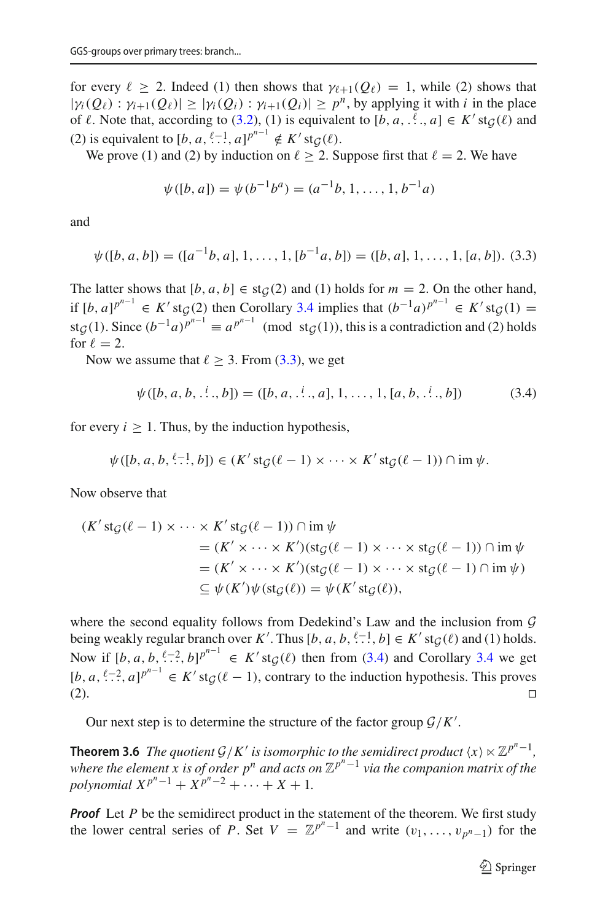for every  $\ell \geq 2$ . Indeed (1) then shows that  $\gamma_{\ell+1}(Q_{\ell}) = 1$ , while (2) shows that  $|\gamma_i(Q_\ell) : \gamma_{i+1}(Q_\ell)| \geq |\gamma_i(Q_i) : \gamma_{i+1}(Q_i)| \geq p^n$ , by applying it with *i* in the place of  $\ell$ . Note that, according to [\(3.2\)](#page-13-1), (1) is equivalent to  $[b, a, \dots, a] \in K'$  st $\mathcal{G}(\ell)$  and (2) is equivalent to  $[b, a, \stackrel{\ell-1}{\ldots}, a]^{p^{n-1}} \notin K'$  st $\mathcal{G}(\ell)$ .

We prove (1) and (2) by induction on  $\ell \geq 2$ . Suppose first that  $\ell = 2$ . We have

$$
\psi([b, a]) = \psi(b^{-1}b^a) = (a^{-1}b, 1, \dots, 1, b^{-1}a)
$$

and

<span id="page-14-0"></span>
$$
\psi([b, a, b]) = ([a^{-1}b, a], 1, \dots, 1, [b^{-1}a, b]) = ([b, a], 1, \dots, 1, [a, b]).
$$
 (3.3)

The latter shows that  $[b, a, b] \in \text{st}_G(2)$  and (1) holds for  $m = 2$ . On the other hand, if  $[b, a]^{p^{n-1}} \in K'$  st $\mathcal{G}(2)$  then Corollary [3.4](#page-13-2) implies that  $(b^{-1}a)^{p^{n-1}} \in K'$  st $\mathcal{G}(1) =$ st<sub>*G*</sub>(1). Since  $(b^{-1}a)^{p^{n-1}} \equiv a^{p^{n-1}} \pmod{st_G(1)}$ , this is a contradiction and (2) holds for  $\ell = 2$ .

Now we assume that  $\ell \geq 3$ . From [\(3.3\)](#page-14-0), we get

<span id="page-14-1"></span>
$$
\psi([b, a, b, \dots, b]) = ([b, a, \dots, a], 1, \dots, 1, [a, b, \dots, b])
$$
\n(3.4)

for every  $i > 1$ . Thus, by the induction hypothesis,

$$
\psi([b, a, b, \stackrel{\ell-1}{\ldots}, b]) \in (K' \operatorname{st}_{\mathcal{G}}(\ell-1) \times \cdots \times K' \operatorname{st}_{\mathcal{G}}(\ell-1)) \cap \operatorname{im} \psi.
$$

Now observe that

$$
(K' \operatorname{st}_{\mathcal{G}}(\ell - 1) \times \cdots \times K' \operatorname{st}_{\mathcal{G}}(\ell - 1)) \cap \operatorname{im} \psi
$$
  
=  $(K' \times \cdots \times K')(\operatorname{st}_{\mathcal{G}}(\ell - 1) \times \cdots \times \operatorname{st}_{\mathcal{G}}(\ell - 1)) \cap \operatorname{im} \psi$   
=  $(K' \times \cdots \times K')(\operatorname{st}_{\mathcal{G}}(\ell - 1) \times \cdots \times \operatorname{st}_{\mathcal{G}}(\ell - 1) \cap \operatorname{im} \psi)$   
 $\subseteq \psi(K')\psi(\operatorname{st}_{\mathcal{G}}(\ell)) = \psi(K' \operatorname{st}_{\mathcal{G}}(\ell)),$ 

where the second equality follows from Dedekind's Law and the inclusion from *G* being weakly regular branch over *K'*. Thus  $[b, a, b, \frac{\ell-1}{\ldots}, b] \in K' \text{st}_{\mathcal{G}}(\ell)$  and (1) holds. Now if  $[b, a, b, \frac{\ell-2}{2}, b]^{p^{n-1}} \in K' \text{st}_{\mathcal{G}}(\ell)$  then from [\(3.4\)](#page-14-1) and Corollary [3.4](#page-13-2) we get  $[b, a, \ell, 2, a]$ <sup>p<sub>n-1</sub></sup>  $\in K'$  st<sub> $G$ </sub>( $\ell - 1$ ), contrary to the induction hypothesis. This proves (2).

<span id="page-14-2"></span>Our next step is to determine the structure of the factor group  $\mathcal{G}/K'$ .

**Theorem 3.6** *The quotient*  $G/K'$  *is isomorphic to the semidirect product*  $\langle x \rangle \times \mathbb{Z}^{p^n-1}$ *, where the element x is of order p<sup>n</sup> and acts on* Z*pn*−<sup>1</sup> *via the companion matrix of the polynomial*  $X^{p^n-1} + X^{p^n-2} + \cdots + X + 1$ .

**Proof** Let *P* be the semidirect product in the statement of the theorem. We first study the lower central series of *P*. Set  $V = \mathbb{Z}^{p^n-1}$  and write  $(v_1, \ldots, v_{p^n-1})$  for the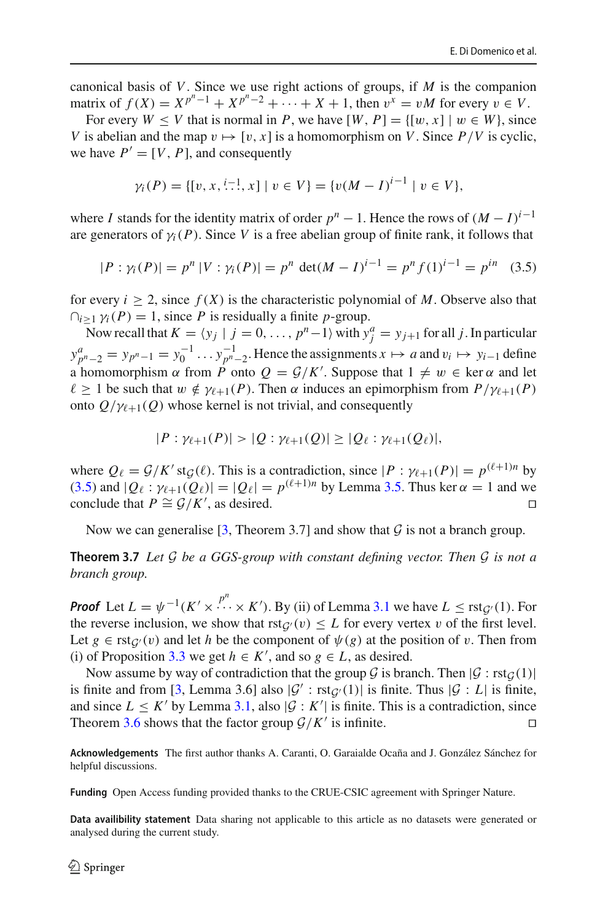canonical basis of *V*. Since we use right actions of groups, if *M* is the companion matrix of *f* (*X*) =  $X^{p^n-1} + X^{p^n-2} + \cdots + X + 1$ , then  $v^x = vM$  for every  $v ∈ V$ .

For every  $W \leq V$  that is normal in *P*, we have  $[W, P] = \{ [w, x] \mid w \in W \}$ , since *V* is abelian and the map  $v \mapsto [v, x]$  is a homomorphism on *V*. Since  $P/V$  is cyclic, we have  $P' = [V, P]$ , and consequently

$$
\gamma_i(P) = \{ [v, x, \stackrel{i-1}{\ldots}, x] \mid v \in V \} = \{ v(M - I)^{i-1} \mid v \in V \},
$$

where *I* stands for the identity matrix of order  $p^n - 1$ . Hence the rows of  $(M - I)^{i-1}$ are generators of  $\gamma$ <sub>*i*</sub>(*P*). Since *V* is a free abelian group of finite rank, it follows that

<span id="page-15-0"></span>
$$
|P: \gamma_i(P)| = p^n |V: \gamma_i(P)| = p^n \det(M - I)^{i-1} = p^n f(1)^{i-1} = p^{in} \quad (3.5)
$$

for every  $i \geq 2$ , since  $f(X)$  is the characteristic polynomial of M. Observe also that  $\bigcap_{i \geq 1} \gamma_i(P) = 1$ , since *P* is residually a finite *p*-group.

Now recall that  $K = \langle y_j | j = 0, \dots, p^n-1 \rangle$  with  $y_j^a = y_{j+1}$  for all *j*. In particular  $y_{p^n-2}^a = y_{p^n-1} = y_0^{-1} \dots y_{p^n-2}^{-1}$ . Hence the assignments  $x \mapsto a$  and  $v_i \mapsto y_{i-1}$  define a homomorphism  $\alpha$  from *P* onto  $Q = G/K'$ . Suppose that  $1 \neq w \in \ker \alpha$  and let  $\ell > 1$  be such that  $w \notin \gamma_{\ell+1}(P)$ . Then  $\alpha$  induces an epimorphism from  $P/\gamma_{\ell+1}(P)$ onto  $Q/\gamma_{\ell+1}(Q)$  whose kernel is not trivial, and consequently

$$
|P: \gamma_{\ell+1}(P)| > |Q: \gamma_{\ell+1}(Q)| \geq |Q_{\ell}: \gamma_{\ell+1}(Q_{\ell})|,
$$

where  $Q_{\ell} = \mathcal{G}/K'$  st $\mathcal{G}(\ell)$ . This is a contradiction, since  $|P : \gamma_{\ell+1}(P)| = p^{(\ell+1)n}$  by [\(3.5\)](#page-15-0) and  $|Q_\ell : \gamma_{\ell+1}(Q_\ell)| = |Q_\ell| = p^{(\ell+1)n}$  by Lemma [3.5.](#page-13-3) Thus ker  $\alpha = 1$  and we conclude that  $P \cong G/K'$  as desired conclude that  $P \cong G/K'$ , as desired.

Now we can generalise  $[3,$  $[3,$  Theorem 3.7] and show that  $\mathcal G$  is not a branch group.

**Theorem 3.7** *Let G be a GGS-group with constant defining vector. Then G is not a branch group.*

*Proof* Let  $L = \psi^{-1}(K' \times \cdots \times K')$ . By (ii) of Lemma [3.1](#page-12-2) we have  $L \leq \text{rst}_{\mathcal{G}'}(1)$ . For the reverse inclusion, we show that  $rst_{\mathcal{G}}(v) \leq L$  for every vertex v of the first level. Let  $g \in \text{rst}_{\mathcal{G}}(v)$  and let *h* be the component of  $\psi(g)$  at the position of v. Then from (i) of Proposition [3.3](#page-12-0) we get *h* ∈ *K*<sup> $′$ </sup>, and so *g* ∈ *L*, as desired.

Now assume by way of contradiction that the group  $G$  is branch. Then  $|G : \text{rst}_G(1)|$ is finite and from [\[3](#page-16-6), Lemma 3.6] also  $|G' : \text{rst}_{G'}(1)|$  is finite. Thus  $|G : L|$  is finite, and since  $L \leq K'$  by Lemma [3.1,](#page-12-2) also  $|\mathcal{G}: K'|$  is finite. This is a contradiction, since Theorem [3.6](#page-14-2) shows that the factor group  $G/K'$  is infinite.

**Acknowledgements** The first author thanks A. Caranti, O. Garaialde Ocaña and J. González Sánchez for helpful discussions.

**Funding** Open Access funding provided thanks to the CRUE-CSIC agreement with Springer Nature.

**Data availibility statement** Data sharing not applicable to this article as no datasets were generated or analysed during the current study.